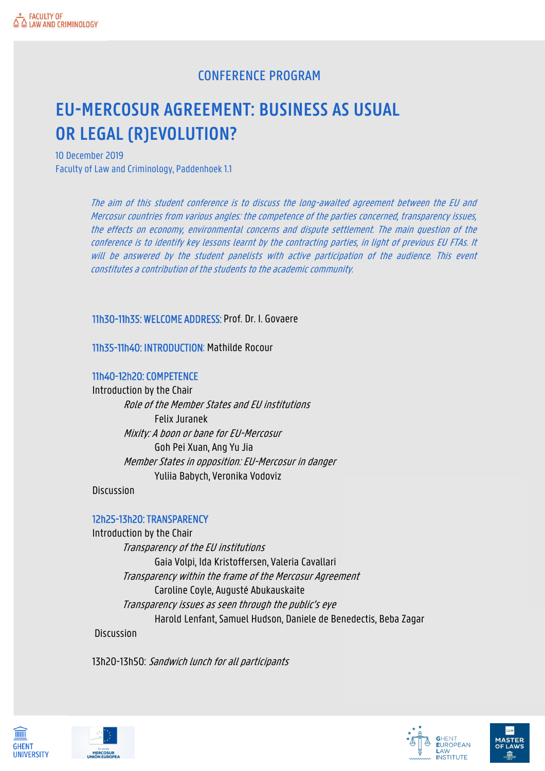## CONFERENCE PROGRAM

# **EU-MERCOSUR AGREEMENT: BUSINESS AS USUAL OR LEGAL (R)EVOLUTION?**

10 December 2019 Faculty of Law and Criminology, Paddenhoek 1.1

> The aim of this student conference is to discuss the long-awaited agreement between the EU and Mercosur countries from various angles: the competence of the parties concerned, transparency issues, the effects on economy, environmental concerns and dispute settlement. The main question of the conference is to identify key lessons learnt by the contracting parties, in light of previous EU FTAs. It will be answered by the student panelists with active participation of the audience. This event constitutes a contribution of the students to the academic community.

#### 11h30-11h35: WELCOME ADDRESS: Prof. Dr. I. Govaere

11h35-11h40: INTRODUCTION: Mathilde Rocour

#### 11h40-12h20: COMPETENCE

Introduction by the Chair Role of the Member States and EU institutions Felix Juranek Mixity: A boon or bane for EU-Mercosur Goh Pei Xuan, Ang Yu Jia Member States in opposition: EU-Mercosur in danger Yuliia Babych, Veronika Vodoviz

**Discussion** 

#### 12h25-13h20: TRANSPARENCY

Introduction by the Chair Transparency of the EU institutions Gaia Volpi, Ida Kristoffersen, Valeria Cavallari Transparency within the frame of the Mercosur Agreement Caroline Coyle, Augusté Abukauskaite Transparency issues as seen through the public's eye Harold Lenfant, Samuel Hudson, Daniele de Benedectis, Beba Zagar **Discussion** 

13h20-13h50: Sandwich lunch for all participants